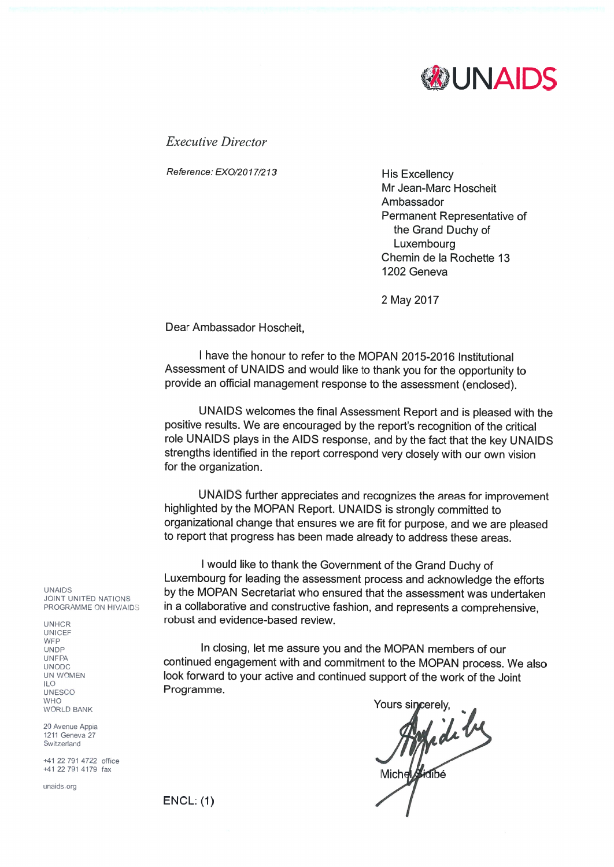

**Executive Director** 

Reference: EXO/2017/213

**His Excellency** Mr Jean-Marc Hoscheit Ambassador Permanent Representative of the Grand Duchy of Luxembourg Chemin de la Rochette 13 1202 Geneva

2 May 2017

Dear Ambassador Hoscheit.

I have the honour to refer to the MOPAN 2015-2016 Institutional Assessment of UNAIDS and would like to thank you for the opportunity to provide an official management response to the assessment (enclosed).

UNAIDS welcomes the final Assessment Report and is pleased with the positive results. We are encouraged by the report's recognition of the critical role UNAIDS plays in the AIDS response, and by the fact that the key UNAIDS strengths identified in the report correspond very closely with our own vision for the organization.

UNAIDS further appreciates and recognizes the areas for improvement highlighted by the MOPAN Report. UNAIDS is strongly committed to organizational change that ensures we are fit for purpose, and we are pleased to report that progress has been made already to address these areas.

I would like to thank the Government of the Grand Duchy of Luxembourg for leading the assessment process and acknowledge the efforts by the MOPAN Secretariat who ensured that the assessment was undertaken in a collaborative and constructive fashion, and represents a comprehensive, robust and evidence-based review

In closing, let me assure you and the MOPAN members of our continued engagement with and commitment to the MOPAN process. We also look forward to your active and continued support of the work of the Joint Programme.

Yours sincerel Michelphille

**UNAIDS JOINT UNITED NATIONS** PROGRAMME ON HIV/AIDS

**UNHCR UNICEF WFP UNDP UNFPA IINODC** UN WOMEN **ILO** UNESCO **WHO** WORLD BANK

20 Avenue Appia 1211 Geneva 27 Switzerland

+41 22 791 4722 office +41 22 791 4179 fax

unaids.org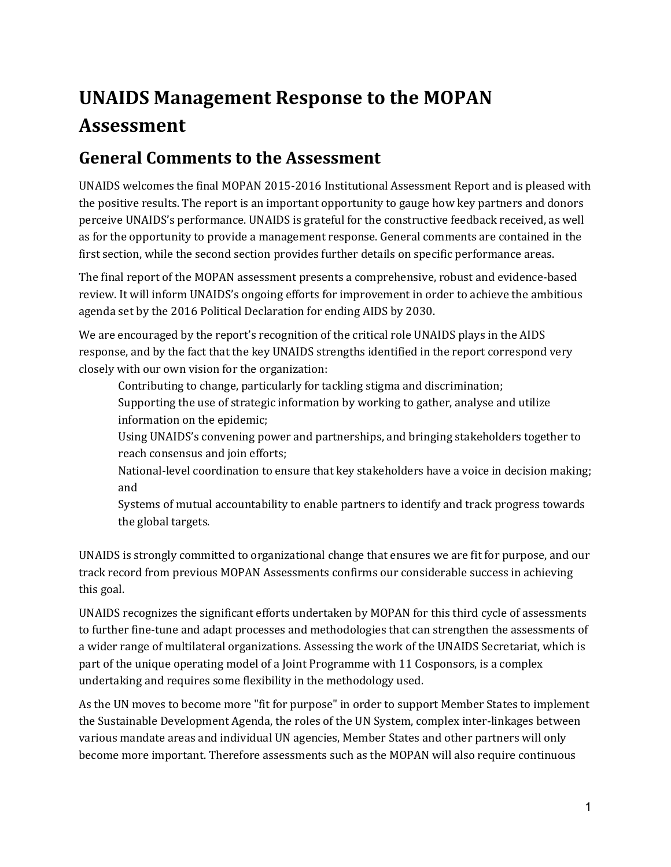# **UNAIDS Management Response to the MOPAN Assessment**

#### **General Comments to the Assessment**

UNAIDS welcomes the final MOPAN 2015-2016 Institutional Assessment Report and is pleased with the positive results. The report is an important opportunity to gauge how key partners and donors perceive UNAIDS's performance. UNAIDS is grateful for the constructive feedback received, as well as for the opportunity to provide a management response. General comments are contained in the first section, while the second section provides further details on specific performance areas.

The final report of the MOPAN assessment presents a comprehensive, robust and evidence-based review. It will inform UNAIDS's ongoing efforts for improvement in order to achieve the ambitious agenda set by the 2016 Political Declaration for ending AIDS by 2030.

We are encouraged by the report's recognition of the critical role UNAIDS plays in the AIDS response, and by the fact that the key UNAIDS strengths identified in the report correspond very closely with our own vision for the organization:

Contributing to change, particularly for tackling stigma and discrimination;

Supporting the use of strategic information by working to gather, analyse and utilize information on the epidemic;

Using UNAIDS's convening power and partnerships, and bringing stakeholders together to reach consensus and join efforts;

National-level coordination to ensure that key stakeholders have a voice in decision making; and

Systems of mutual accountability to enable partners to identify and track progress towards the global targets.

UNAIDS is strongly committed to organizational change that ensures we are fit for purpose, and our track record from previous MOPAN Assessments confirms our considerable success in achieving this goal.<br>UNAIDS recognizes the significant efforts undertaken by MOPAN for this third cycle of assessments

to further fine-tune and adapt processes and methodologies that can strengthen the assessments of a wider range of multilateral organizations. Assessing the work of the UNAIDS Secretariat, which is part of the unique operating model of a Joint Programme with 11 Cosponsors, is a complex undertaking and requires some flexibility in the methodology used.<br>As the UN moves to become more "fit for purpose" in order to support Member States to implement

the Sustainable Development Agenda, the roles of the UN System, complex inter-linkages between various mandate areas and individual UN agencies, Member States and other partners will only become more important. Therefore assessments such as the MOPAN will also require continuous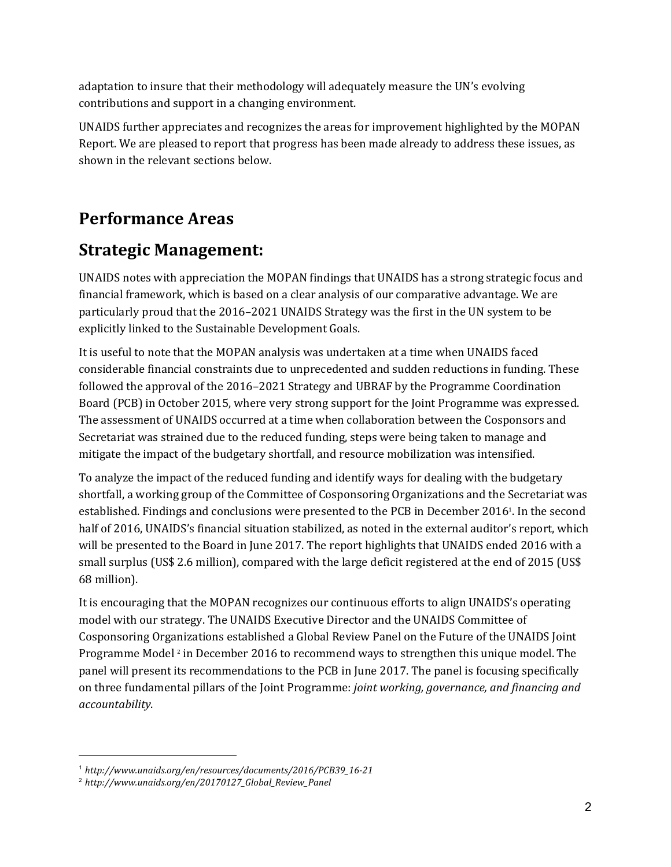adaptation to insure that their methodology will adequately measure the UN's evolving contributions and support in a changing environment.

UNAIDS further appreciates and recognizes the areas for improvement highlighted by the MOPAN Report. We are pleased to report that progress has been made already to address these issues, as shown in the relevant sections below.

### **Performance Areas**

#### **Strategic Management:**

UNAIDS notes with appreciation the MOPAN findings that UNAIDS has a strong strategic focus and financial framework, which is based on a clear analysis of our comparative advantage. We are particularly proud that the 2016–2021 UNAIDS Strategy was the first in the UN system to be explicitly linked to the Sustainable Development Goals.

It is useful to note that the MOPAN analysis was undertaken at a time when UNAIDS faced considerable financial constraints due to unprecedented and sudden reductions in funding. These followed the approval of the 2016–2021 Strategy and UBRAF by the Programme Coordination Board (PCB) in October 2015, where very strong support for the Joint Programme was expressed. The assessment of UNAIDS occurred at a time when collaboration between the Cosponsors and Secretariat was strained due to the reduced funding, steps were being taken to manage and mitigate the impact of the budgetary shortfall, and resource mobilization was intensified.

To analyze the impact of the reduced funding and identify ways for dealing with the budgetary shortfall, a working group of the Committee of Cosponsoring Organizations and the Secretariat was established. Findings and conclusions were presented to the PCB in December 2016<sup>1</sup>. In the second half of 2016, UNAIDS's financial situation stabilized, as noted in the external auditor's report, which will be presented to the Board in June 2017. The report highlights that UNAIDS ended 2016 with a small surplus (US\$ 2.6 million), compared with the large deficit registered at the end of 2015 (US\$ 68 million).

It is encouraging that the MOPAN recognizes our continuous efforts to align UNAIDS's operating model with our strategy. The UNAIDS Executive Director and the UNAIDS Committee of Cosponsoring Organizations established a Global Review Panel on the Future of the UNAIDS Joint Programme Model <sup>2</sup> in December 2016 to recommend ways to strengthen this unique model. The panel will present its recommendations to the PCB in June 2017. The panel is focusing specifically on three fundamental pillars of the Joint Programme: *joint working, governance, and financing and accountability*.

<sup>1</sup> *http://www.unaids.org/en/resources/documents/2016/PCB39\_16-21*

<sup>2</sup> *http://www.unaids.org/en/20170127\_Global\_Review\_Panel*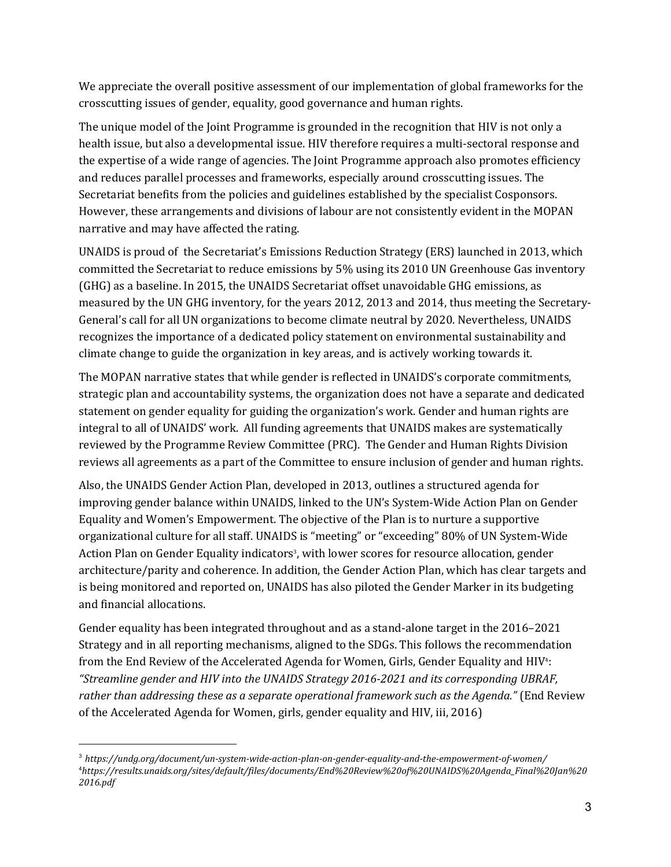We appreciate the overall positive assessment of our implementation of global frameworks for the crosscutting issues of gender, equality, good governance and human rights.

The unique model of the Joint Programme is grounded in the recognition that HIV is not only a health issue, but also a developmental issue. HIV therefore requires a multi-sectoral response and the expertise of a wide range of agencies. The Joint Programme approach also promotes efficiency and reduces parallel processes and frameworks, especially around crosscutting issues. The Secretariat benefits from the policies and guidelines established by the specialist Cosponsors. However, these arrangements and divisions of labour are not consistently evident in the MOPAN narrative and may have affected the rating.

UNAIDS is proud of the Secretariat's Emissions Reduction Strategy (ERS) launched in 2013, which committed the Secretariat to reduce emissions by 5% using its 2010 UN Greenhouse Gas inventory (GHG) as a baseline. In 2015, the UNAIDS Secretariat offset unavoidable GHG emissions, as measured by the UN GHG inventory, for the years 2012, 2013 and 2014, thus meeting the Secretary-General's call for all UN organizations to become climate neutral by 2020. Nevertheless, UNAIDS recognizes the importance of a dedicated policy statement on environmental sustainability and climate change to guide the organization in key areas, and is actively working towards it.

The MOPAN narrative states that while gender is reflected in UNAIDS's corporate commitments, strategic plan and accountability systems, the organization does not have a separate and dedicated statement on gender equality for guiding the organization's work. Gender and human rights are integral to all of UNAIDS' work. All funding agreements that UNAIDS makes are systematically reviewed by the Programme Review Committee (PRC). The Gender and Human Rights Division reviews all agreements as a part of the Committee to ensure inclusion of gender and human rights.

Also, the UNAIDS Gender Action Plan, developed in 2013, outlines a structured agenda for improving gender balance within UNAIDS, linked to the UN's System-Wide Action Plan on Gender Equality and Women's Empowerment. The objective of the Plan is to nurture a supportive organizational culture for all staff. UNAIDS is "meeting" or "exceeding" 80% of UN System-Wide Action Plan on Gender Equality indicators<sup>3</sup>, with lower scores for resource allocation, gender architecture/parity and coherence. In addition, the Gender Action Plan, which has clear targets and is being monitored and reported on, UNAIDS has also piloted the Gender Marker in its budgeting and financial allocations.

Gender equality has been integrated throughout and as a stand-alone target in the 2016–2021 Strategy and in all reporting mechanisms, aligned to the SDGs. This follows the recommendation from the End Review of the Accelerated Agenda for Women, Girls, Gender Equality and HIV<sup>4</sup>: *"Streamline gender and HIV into the UNAIDS Strategy 2016-2021 and its corresponding UBRAF, rather than addressing these as a separate operational framework such as the Agenda."* (End Review of the Accelerated Agenda for Women, girls, gender equality and HIV, iii, 2016)

<sup>3</sup> *https://undg.org/document/un-system-wide-action-plan-on-gender-equality-and-the-empowerment-of-women/* <sup>4</sup>*https://results.unaids.org/sites/default/files/documents/End%20Review%20of%20UNAIDS%20Agenda\_Final%20Jan%20 2016.pdf*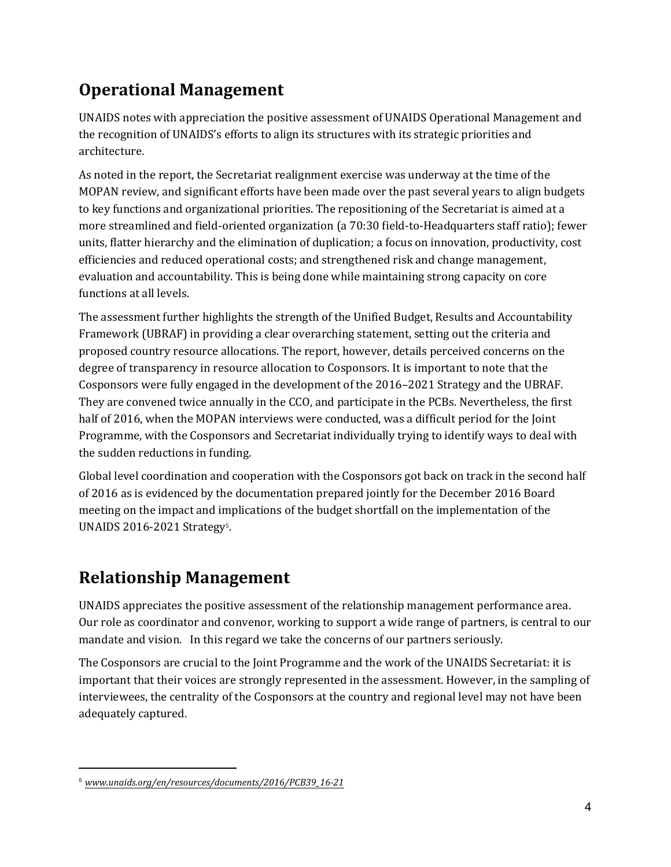## **Operational Management**

UNAIDS notes with appreciation the positive assessment of UNAIDS Operational Management and the recognition of UNAIDS's efforts to align its structures with its strategic priorities and architecture.

As noted in the report, the Secretariat realignment exercise was underway at the time of the MOPAN review, and significant efforts have been made over the past several years to align budgets to key functions and organizational priorities. The repositioning of the Secretariat is aimed at a more streamlined and field-oriented organization (a 70:30 field-to-Headquarters staff ratio); fewer units, flatter hierarchy and the elimination of duplication; a focus on innovation, productivity, cost efficiencies and reduced operational costs; and strengthened risk and change management, evaluation and accountability. This is being done while maintaining strong capacity on core functions at all levels.

The assessment further highlights the strength of the Unified Budget, Results and Accountability Framework (UBRAF) in providing a clear overarching statement, setting out the criteria and proposed country resource allocations. The report, however, details perceived concerns on the degree of transparency in resource allocation to Cosponsors. It is important to note that the Cosponsors were fully engaged in the development of the 2016–2021 Strategy and the UBRAF. They are convened twice annually in the CCO, and participate in the PCBs. Nevertheless, the first half of 2016, when the MOPAN interviews were conducted, was a difficult period for the Joint Programme, with the Cosponsors and Secretariat individually trying to identify ways to deal with the sudden reductions in funding.

Global level coordination and cooperation with the Cosponsors got back on track in the second half of 2016 as is evidenced by the documentation prepared jointly for the December 2016 Board meeting on the impact and implications of the budget shortfall on the implementation of the UNAIDS 2016-2021 Strategy<sup>5</sup>. .

## **Relationship Management**

UNAIDS appreciates the positive assessment of the relationship management performance area. Our role as coordinator and convenor, working to support a wide range of partners, is central to our mandate and vision. In this regard we take the concerns of our partners seriously.

The Cosponsors are crucial to the Joint Programme and the work of the UNAIDS Secretariat: it is important that their voices are strongly represented in the assessment. However, in the sampling of interviewees, the centrality of the Cosponsors at the country and regional level may not have been adequately captured.

<sup>5</sup> *www.unaids.org/en/resources/documents/2016/PCB39\_16-21*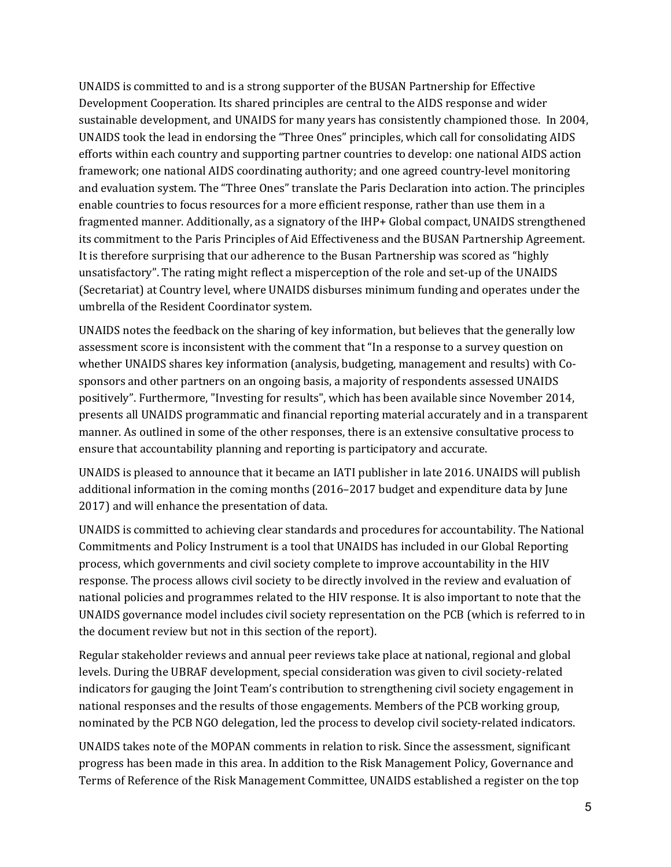UNAIDS is committed to and is a strong supporter of the BUSAN Partnership for Effective Development Cooperation. Its shared principles are central to the AIDS response and wider sustainable development, and UNAIDS for many years has consistently championed those. In 2004, UNAIDS took the lead in endorsing the "Three Ones" principles, which call for consolidating AIDS efforts within each country and supporting partner countries to develop: one national AIDS action framework; one national AIDS coordinating authority; and one agreed country-level monitoring and evaluation system. The "Three Ones" translate the Paris Declaration into action. The principles enable countries to focus resources for a more efficient response, rather than use them in a fragmented manner. Additionally, as a signatory of the IHP+ Global compact, UNAIDS strengthened its commitment to the Paris Principles of Aid Effectiveness and the BUSAN Partnership Agreement. It is therefore surprising that our adherence to the Busan Partnership was scored as "highly unsatisfactory". The rating might reflect a misperception of the role and set-up of the UNAIDS (Secretariat) at Country level, where UNAIDS disburses minimum funding and operates under the umbrella of the Resident Coordinator system.

UNAIDS notes the feedback on the sharing of key information, but believes that the generally low assessment score is inconsistent with the comment that "In a response to a survey question on whether UNAIDS shares key information (analysis, budgeting, management and results) with Cosponsors and other partners on an ongoing basis, a majority of respondents assessed UNAIDS positively". Furthermore, "Investing for results", which has been available since November 2014, presents all UNAIDS programmatic and financial reporting material accurately and in a transparent manner. As outlined in some of the other responses, there is an extensive consultative process to ensure that accountability planning and reporting is participatory and accurate.

UNAIDS is pleased to announce that it became an IATI publisher in late 2016. UNAIDS will publish additional information in the coming months (2016–2017 budget and expenditure data by June 2017) and will enhance the presentation of data.

UNAIDS is committed to achieving clear standards and procedures for accountability. The National Commitments and Policy Instrument is a tool that UNAIDS has included in our Global Reporting process, which governments and civil society complete to improve accountability in the HIV response. The process allows civil society to be directly involved in the review and evaluation of national policies and programmes related to the HIV response. It is also important to note that the UNAIDS governance model includes civil society representation on the PCB (which is referred to in the document review but not in this section of the report).

Regular stakeholder reviews and annual peer reviews take place at national, regional and global levels. During the UBRAF development, special consideration was given to civil society-related indicators for gauging the Joint Team's contribution to strengthening civil society engagement in national responses and the results of those engagements. Members of the PCB working group, nominated by the PCB NGO delegation, led the process to develop civil society-related indicators.

UNAIDS takes note of the MOPAN comments in relation to risk. Since the assessment, significant progress has been made in this area. In addition to the Risk Management Policy, Governance and Terms of Reference of the Risk Management Committee, UNAIDS established a register on the top